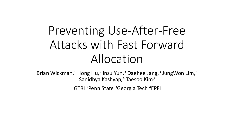# Preventing Use-After-Free Attacks with Fast Forward Allocation

Brian Wickman,<sup>1</sup> Hong Hu,<sup>2</sup> Insu Yun,<sup>3</sup> Daehee Jang,<sup>3</sup> JungWon Lim,<sup>3</sup> Sanidhya Kashyap,<sup>4</sup> Taesoo Kim<sup>3</sup>

<sup>1</sup>GTRI <sup>2</sup>Penn State <sup>3</sup>Georgia Tech <sup>4</sup>EPFL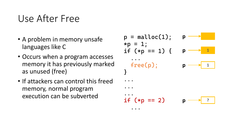### Use After Free

- A problem in memory unsafe languages like C
- Occurs when a program accesses memory it has previously marked as unused (free)
- If attackers can control this freed memory, normal program execution can be subverted

$$
p = \text{malloc}(1); \quad p \longrightarrow \text{Ind}(1) \text{ for } p \longrightarrow \text{Ind}(1) \text{ for } p \longrightarrow \text{Ind}(1) \text{ for } p \longrightarrow \text{Ind}(1) \text{ for } p \longrightarrow \text{Ind}(1) \text{ for } p \longrightarrow \text{Ind}(1) \text{ for } p \longrightarrow \text{Ind}(1) \text{ for } p \longrightarrow \text{Ind}(1) \text{ for } p \longrightarrow \text{Ind}(1) \text{ for } p \longrightarrow \text{Ind}(1) \text{ for } p \longrightarrow \text{Ind}(1) \text{ for } p \longrightarrow \text{Ind}(1) \text{ for } p \longrightarrow \text{Ind}(1) \text{ for } p \longrightarrow \text{Ind}(1) \text{ for } p \longrightarrow \text{Ind}(1) \text{ for } p \longrightarrow \text{Ind}(1) \text{ for } p \longrightarrow \text{Ind}(1) \text{ for } p \longrightarrow \text{Ind}(1) \text{ for } p \longrightarrow \text{Ind}(1) \text{ for } p \longrightarrow \text{Ind}(1) \text{ for } p \longrightarrow \text{Ind}(1) \text{ for } p \longrightarrow \text{Ind}(1) \text{ for } p \longrightarrow \text{Ind}(1) \text{ for } p \longrightarrow \text{Ind}(1) \text{ for } p \longrightarrow \text{Ind}(1) \text{ for } p \longrightarrow \text{Ind}(1) \text{ for } p \longrightarrow \text{Ind}(1) \text{ for } p \longrightarrow \text{Ind}(1) \text{ for } p \longrightarrow \text{Ind}(1) \text{ for } p \longrightarrow \text{Ind}(1) \text{ for } p \longrightarrow \text{Ind}(1) \text{ for } p \longrightarrow \text{Ind}(1) \text{ for } p \longrightarrow \text{Ind}(1) \text{ for } p \longrightarrow \text{Ind}(1) \text{ for } p \longrightarrow \text{Ind}(1) \text{ for } p \longrightarrow \text{Ind}(1) \text{ for } p \longrightarrow \text{Ind}(1) \text{ for } p \longrightarrow \text{Ind}(1) \text{ for } p \longrightarrow \text{Ind}(1) \text{ for } p \longrightarrow \text{Ind}(1) \text{ for } p \longrightarrow \text{Ind}(1) \text{ for } p \longrightarrow \text{Ind}(1) \text{ for } p \longrightarrow \text{Ind}(1) \text{ for } p \longrightarrow \text{Ind}(1) \text{ for } p \longrightarrow \text{Ind}(1) \text{ for } p \longrightarrow \text{Ind}(1) \text{ for } p \longrightarrow \text{Ind}(1) \text{ for } p \longrightarrow \text{Ind}(1) \text{ for } p \longrightarrow \text{Ind}(1) \text{ for } p \longrightarrow \text{Ind}(1) \text
$$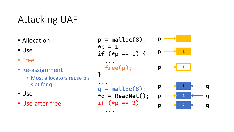## Attacking UAF

• Allocation

• Use

- Free
- Re-assignment
	- Most allocators reuse p's slot for q
- Use
- Use -after -free

$$
p = \text{malloc}(8);
$$
\n
$$
*p = 1;
$$
\n
$$
if (*p == 1) {\{
$$

free(p);

}

 $\bullet$   $\bullet$   $\bullet$  $q =$  malloc(8);  $*q$  = ReadNet(); if  $(*p == 2)$ 

...



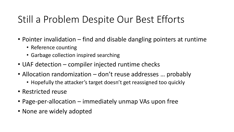## Still a Problem Despite Our Best Efforts

- Pointer invalidation find and disable dangling pointers at runtime
	- Reference counting
	- Garbage collection inspired searching
- UAF detection compiler injected runtime checks
- Allocation randomization don't reuse addresses ... probably
	- Hopefully the attacker's target doesn't get reassigned too quickly
- Restricted reuse
- Page-per-allocation immediately unmap VAs upon free
- None are widely adopted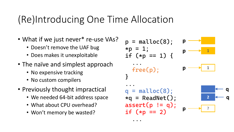## (Re)Introducing One Time Allocation

- What if we just never\* re-use VAs?
	- Doesn't remove the UAF bug
	- Does makes it unexploitable
- The naïve and simplest approach
	- No expensive tracking
	- No custom compilers
- Previously thought impractical
	- We needed 64-bit address space
	- What about CPU overhead?
	- Won't memory be wasted?

```
p = malloc(8);
*p = 1;if (*p == 1) {
  ...
  free(p); 
}
...
q = malloc(8);
*q = ReadNet();
assert(p := q);
if (*p == 2)p
                  p \longrightarrow 1
                  p 1
                          2 q
                    p ?
```
**q**

...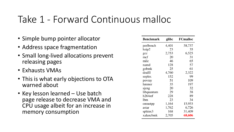### Take 1 - Forward Continuous malloc

- Simple bump pointer allocator
- Address space fragmentation
- Small long-lived allocations prevent releasing pages
- Exhausts VMAs
- This is what early objections to OTA warned about
- Key lesson learned Use batch page release to decrease VMA and CPU usage albeit for an increase in memory consumption

| <b>Benchmark</b> | glibc | <b>FCmalloc</b> |
|------------------|-------|-----------------|
| perlbench        | 4,401 | 58,737          |
| bzip2            | 23    | 35              |
| $_{\rm gcc}$     | 2,753 | 6,525           |
| mcf              | 20    | 31              |
| milc             | 46    | 65              |
| namd             | 128   | 57              |
| gobmk            | 25    | 61              |
| dealII           | 4,760 | 2,322           |
| soplex           | 152   | 99              |
| povray           | 51    | 109             |
| hmmer            | 35    | 197             |
| sjeng            | 20    | 32              |
| libquantum       | 29    | 38              |
| h264ref          | 228   | 89              |
| lbm              | 23    | 34              |
| omnetpp          | 1,164 | 15,933          |
| astar            | 1,762 | 6,726           |
| sphinx3          | 168   | 31,409          |
| xalancbmk        | 2.705 | 68,606          |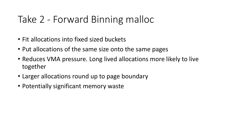## Take 2 - Forward Binning malloc

- Fit allocations into fixed sized buckets
- Put allocations of the same size onto the same pages
- Reduces VMA pressure. Long lived allocations more likely to live together
- Larger allocations round up to page boundary
- Potentially significant memory waste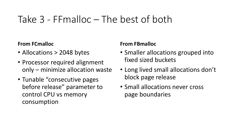### Take 3 - FFmalloc – The best of both

#### **From FCmalloc**

- Allocations > 2048 bytes
- Processor required alignment only – minimize allocation waste
- Tunable "consecutive pages before release" parameter to control CPU vs memory consumption

#### **From FBmalloc**

- Smaller allocations grouped into fixed sized buckets
- Long lived small allocations don't block page release
- Small allocations never cross page boundaries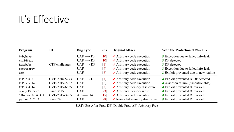## It's Effective

| Program          | ID             | <b>Bug Type</b>          | Link               | <b>Original Attack</b>                            | With the Protection of FFmalloc                           |
|------------------|----------------|--------------------------|--------------------|---------------------------------------------------|-----------------------------------------------------------|
| babyheap         |                | $UAF \longrightarrow DF$ | [10]               | $\blacktriangleright$ Arbitrary code execution    | $\chi$ Exception due to failed info-leak                  |
| childheap        |                | $UAF \longrightarrow DF$ | [10]               | $\blacktriangleright$ Arbitrary code execution    | $\boldsymbol{\times}$ DF detected                         |
| heapbabe         | CTF challenges | $UAF \longrightarrow DF$ | $\lceil 1 \rceil$  | $\blacktriangleright$ Arbitrary code execution    | $\times$ DF detected                                      |
| ghostparty       |                | <b>UAF</b>               | [9]                | $\blacktriangleright$ Arbitrary code execution    | $\overline{\mathsf{X}}$ Exception due to failed info-leak |
| uaf              |                | <b>UAF</b>               | [8]                | $\blacktriangleright$ Arbitrary code execution    | $\chi$ Exploit prevented due to new realloc               |
| PHP 7.0.7        | CVE-2016-5773  | $UAF \longrightarrow DF$ | $\lceil 7 \rceil$  | $\blacktriangleright$ Arbitrary code execution    | $\chi$ Exploit prevented & DF detected                    |
| PHP 5.5.14       | CVE-2015-2787  | <b>UAF</b>               | $\lceil 6 \rceil$  | $\blacktriangleright$ Arbitrary code execution    | $\chi$ Assertion failure (uncontrollable)                 |
| PHP 5.4.44       | CVE-2015-6835  | <b>UAF</b>               | $\lceil 5 \rceil$  | $\blacktriangleright$ Arbitrary memory disclosure | $\chi$ Exploit prevented & run well                       |
| mruby $191ee25$  | $I$ ssue 3515  | <b>UAF</b>               | [23]               | $\blacktriangleright$ Arbitrary memory write      | $\times$ Exploit prevented & run well                     |
| libmimedir 0.5.1 | CVE-2015-3205  | $AF \longrightarrow UAF$ | $\lceil 15 \rceil$ | $\blacktriangleright$ Arbitrary code execution    | $\times$ Exploit prevented & run well                     |
| python 2.7.10    | Issue $24613$  | <b>UAF</b>               | [28]               | $\triangleright$ Restricted memory disclosure     | $\times$ Exploit prevented & run well                     |

UAF: Use-After-Free, DF: Double Free, AF: Arbitrary Free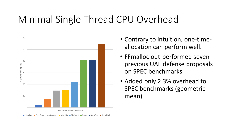### Minimal Single Thread CPU Overhead



- Contrary to intuition, one-timeallocation can perform well.
- FFmalloc out-performed seven previous UAF defense proposals on SPEC benchmarks
- Added only 2.3% overhead to SPEC benchmarks (geometric mean)

**■ FFmalloc ■ FreeGuard ■ pSweeper ■ MarkUs ■ CRCount ■ Oscar ■ DangSan ■ DangNull**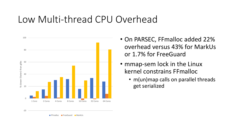### Low Multi-thread CPU Overhead



- On PARSEC, FFmalloc added 22% overhead versus 43% for MarkUs or 1.7% for FreeGuard
- mmap-sem lock in the Linux kernel constrains FFmalloc
	- m(un)map calls on parallel threads get serialized

FFmalloc FreeGuard MarkUs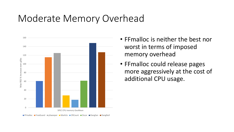### Moderate Memory Overhead



- FFmalloc is neither the best nor worst in terms of imposed memory overhead
- FFmalloc could release pages more aggressively at the cost of additional CPU usage.

**■ FFmalloc ■ FreeGuard ■ pSweeper ■ MarkUs ■ CRCount ■ Oscar ■ DangSan ■ DangNull**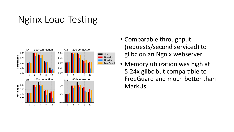## Nginx Load Testing



- Comparable throughput (requests/second serviced) to glibc on an Ngnix webserver
- Memory utilization was high at 5.24x glibc but comparable to FreeGuard and much better than MarkUs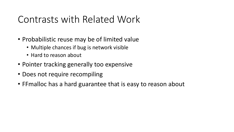### Contrasts with Related Work

- Probabilistic reuse may be of limited value
	- Multiple chances if bug is network visible
	- Hard to reason about
- Pointer tracking generally too expensive
- Does not require recompiling
- FFmalloc has a hard guarantee that is easy to reason about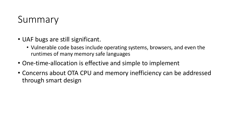## Summary

- UAF bugs are still significant.
	- Vulnerable code bases include operating systems, browsers, and even the runtimes of many memory safe languages
- One-time-allocation is effective and simple to implement
- Concerns about OTA CPU and memory inefficiency can be addressed through smart design